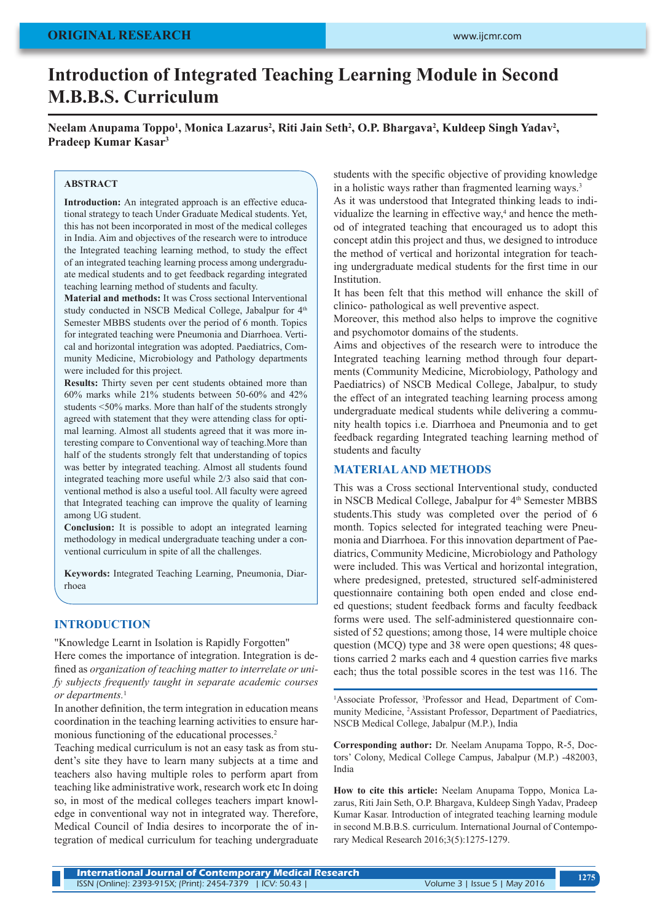# **ORIGINAL RESEARCH**

# **Introduction of Integrated Teaching Learning Module in Second M.B.B.S. Curriculum**

Neelam Anupama Toppo<sup>1</sup>, Monica Lazarus<sup>2</sup>, Riti Jain Seth<sup>2</sup>, O.P. Bhargava<sup>2</sup>, Kuldeep Singh Yadav<sup>2</sup>, **Pradeep Kumar Kasar3**

#### **ABSTRACT**

**Introduction:** An integrated approach is an effective educational strategy to teach Under Graduate Medical students. Yet, this has not been incorporated in most of the medical colleges in India. Aim and objectives of the research were to introduce the Integrated teaching learning method, to study the effect of an integrated teaching learning process among undergraduate medical students and to get feedback regarding integrated teaching learning method of students and faculty.

**Material and methods:** It was Cross sectional Interventional study conducted in NSCB Medical College, Jabalpur for  $4<sup>th</sup>$ Semester MBBS students over the period of 6 month. Topics for integrated teaching were Pneumonia and Diarrhoea. Vertical and horizontal integration was adopted. Paediatrics, Community Medicine, Microbiology and Pathology departments were included for this project.

**Results:** Thirty seven per cent students obtained more than 60% marks while 21% students between 50-60% and 42% students <50% marks. More than half of the students strongly agreed with statement that they were attending class for optimal learning. Almost all students agreed that it was more interesting compare to Conventional way of teaching.More than half of the students strongly felt that understanding of topics was better by integrated teaching. Almost all students found integrated teaching more useful while 2/3 also said that conventional method is also a useful tool. All faculty were agreed that Integrated teaching can improve the quality of learning among UG student.

**Conclusion:** It is possible to adopt an integrated learning methodology in medical undergraduate teaching under a conventional curriculum in spite of all the challenges.

**Keywords:** Integrated Teaching Learning, Pneumonia, Diarrhoea

#### **INTRODUCTION**

"Knowledge Learnt in Isolation is Rapidly Forgotten" Here comes the importance of integration. Integration is defined as *organization of teaching matter to interrelate or unify subjects frequently taught in separate academic courses or departments.*<sup>1</sup>

In another definition, the term integration in education means coordination in the teaching learning activities to ensure harmonious functioning of the educational processes.<sup>2</sup>

Teaching medical curriculum is not an easy task as from student's site they have to learn many subjects at a time and teachers also having multiple roles to perform apart from teaching like administrative work, research work etc In doing so, in most of the medical colleges teachers impart knowledge in conventional way not in integrated way. Therefore, Medical Council of India desires to incorporate the of integration of medical curriculum for teaching undergraduate students with the specific objective of providing knowledge in a holistic ways rather than fragmented learning ways.<sup>3</sup>

As it was understood that Integrated thinking leads to individualize the learning in effective way,<sup>4</sup> and hence the method of integrated teaching that encouraged us to adopt this concept atdin this project and thus, we designed to introduce the method of vertical and horizontal integration for teaching undergraduate medical students for the first time in our Institution.

It has been felt that this method will enhance the skill of clinico- pathological as well preventive aspect.

Moreover, this method also helps to improve the cognitive and psychomotor domains of the students.

Aims and objectives of the research were to introduce the Integrated teaching learning method through four departments (Community Medicine, Microbiology, Pathology and Paediatrics) of NSCB Medical College, Jabalpur, to study the effect of an integrated teaching learning process among undergraduate medical students while delivering a community health topics i.e. Diarrhoea and Pneumonia and to get feedback regarding Integrated teaching learning method of students and faculty

#### **MATERIAL AND METHODS**

This was a Cross sectional Interventional study, conducted in NSCB Medical College, Jabalpur for 4<sup>th</sup> Semester MBBS students.This study was completed over the period of 6 month. Topics selected for integrated teaching were Pneumonia and Diarrhoea. For this innovation department of Paediatrics, Community Medicine, Microbiology and Pathology were included. This was Vertical and horizontal integration, where predesigned, pretested, structured self-administered questionnaire containing both open ended and close ended questions; student feedback forms and faculty feedback forms were used. The self-administered questionnaire consisted of 52 questions; among those, 14 were multiple choice question (MCQ) type and 38 were open questions; 48 questions carried 2 marks each and 4 question carries five marks each; thus the total possible scores in the test was 116. The

<sup>1</sup>Associate Professor, <sup>3</sup>Professor and Head, Department of Community Medicine, <sup>2</sup>Assistant Professor, Department of Paediatrics, NSCB Medical College, Jabalpur (M.P.), India

**Corresponding author:** Dr. Neelam Anupama Toppo, R-5, Doctors' Colony, Medical College Campus, Jabalpur (M.P.) -482003, India

**How to cite this article:** Neelam Anupama Toppo, Monica Lazarus, Riti Jain Seth, O.P. Bhargava, Kuldeep Singh Yadav, Pradeep Kumar Kasar. Introduction of integrated teaching learning module in second M.B.B.S. curriculum. International Journal of Contemporary Medical Research 2016;3(5):1275-1279.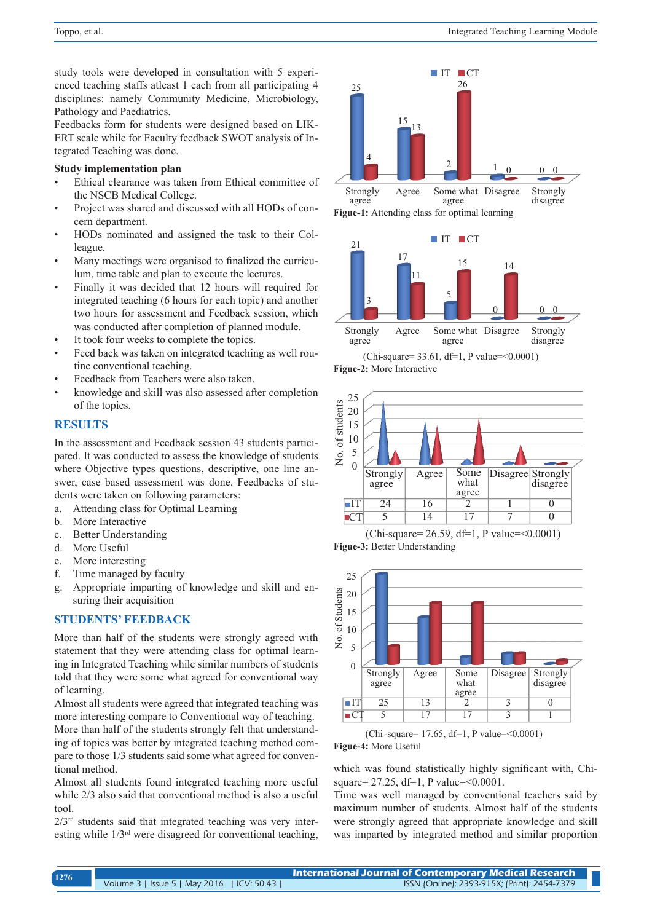study tools were developed in consultation with 5 experienced teaching staffs atleast 1 each from all participating 4 disciplines: namely Community Medicine, Microbiology, Pathology and Paediatrics.

Feedbacks form for students were designed based on LIK-ERT scale while for Faculty feedback SWOT analysis of Integrated Teaching was done.

#### **Study implementation plan**

- Ethical clearance was taken from Ethical committee of the NSCB Medical College.
- Project was shared and discussed with all HODs of concern department.
- HODs nominated and assigned the task to their Colleague.
- Many meetings were organised to finalized the curriculum, time table and plan to execute the lectures.
- Finally it was decided that 12 hours will required for integrated teaching (6 hours for each topic) and another two hours for assessment and Feedback session, which was conducted after completion of planned module.
- It took four weeks to complete the topics.
- Feed back was taken on integrated teaching as well routine conventional teaching.
- Feedback from Teachers were also taken.
- knowledge and skill was also assessed after completion of the topics.

# **RESULTS**

In the assessment and Feedback session 43 students participated. It was conducted to assess the knowledge of students where Objective types questions, descriptive, one line answer, case based assessment was done. Feedbacks of students were taken on following parameters:

- a. Attending class for Optimal Learning
- b. More Interactive
- c. Better Understanding
- d. More Useful

tional method.

- e. More interesting
- f. Time managed by faculty
- g. Appropriate imparting of knowledge and skill and ensuring their acquisition

# **STUDENTS' FEEDBACK**

More than half of the students were strongly agreed with statement that they were attending class for optimal learning in Integrated Teaching while similar numbers of students told that they were some what agreed for conventional way of learning.

Almost all students were agreed that integrated teaching was more interesting compare to Conventional way of teaching. More than half of the students strongly felt that understanding of topics was better by integrated teaching method compare to those 1/3 students said some what agreed for conven-

Almost all students found integrated teaching more useful while 2/3 also said that conventional method is also a useful tool.

 $2/3<sup>rd</sup>$  students said that integrated teaching was very interesting while 1/3rd were disagreed for conventional teaching,





<sup>(</sup>Chi-square= 33.61, df=1, P value=<0.0001) **Figue-2:** More Interactive







(Chi-square= 17.65, df=1, P value=<0.0001) **Figue-4:** More Useful

which was found statistically highly significant with, Chisquare= 27.25, df=1, P value= < 0.0001.

Time was well managed by conventional teachers said by maximum number of students. Almost half of the students were strongly agreed that appropriate knowledge and skill was imparted by integrated method and similar proportion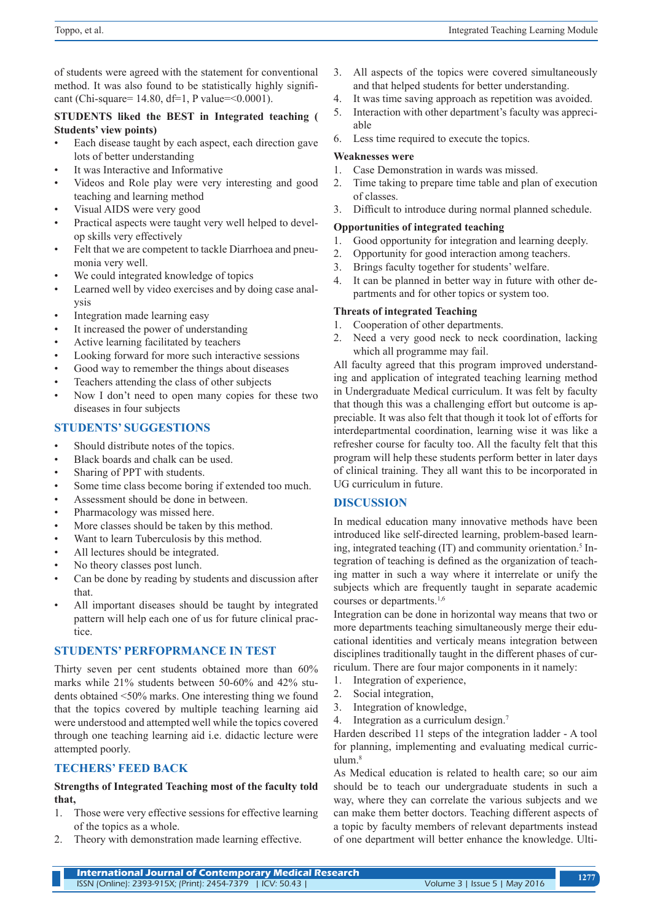of students were agreed with the statement for conventional method. It was also found to be statistically highly significant (Chi-square=  $14.80$ , df=1, P value= < 0.0001).

#### **STUDENTS liked the BEST in Integrated teaching ( Students' view points)**

- Each disease taught by each aspect, each direction gave lots of better understanding
- It was Interactive and Informative
- Videos and Role play were very interesting and good teaching and learning method
- Visual AIDS were very good
- Practical aspects were taught very well helped to develop skills very effectively
- Felt that we are competent to tackle Diarrhoea and pneumonia very well.
- We could integrated knowledge of topics
- Learned well by video exercises and by doing case analysis
- Integration made learning easy
- It increased the power of understanding
- Active learning facilitated by teachers
- Looking forward for more such interactive sessions
- Good way to remember the things about diseases
- Teachers attending the class of other subjects
- Now I don't need to open many copies for these two diseases in four subjects

# **STUDENTS' SUGGESTIONS**

- Should distribute notes of the topics.
- Black boards and chalk can be used.
- Sharing of PPT with students.
- Some time class become boring if extended too much.
- Assessment should be done in between.
- Pharmacology was missed here.
- More classes should be taken by this method.
- Want to learn Tuberculosis by this method.
- All lectures should be integrated.
- No theory classes post lunch.
- Can be done by reading by students and discussion after that.
- All important diseases should be taught by integrated pattern will help each one of us for future clinical practice.

# **STUDENTS' PERFOPRMANCE IN TEST**

Thirty seven per cent students obtained more than 60% marks while 21% students between 50-60% and 42% students obtained <50% marks. One interesting thing we found that the topics covered by multiple teaching learning aid were understood and attempted well while the topics covered through one teaching learning aid i.e. didactic lecture were attempted poorly.

# **TECHERS' FEED BACK**

# **Strengths of Integrated Teaching most of the faculty told that,**

- 1. Those were very effective sessions for effective learning of the topics as a whole.
- 2. Theory with demonstration made learning effective.
- 3. All aspects of the topics were covered simultaneously and that helped students for better understanding.
- 4. It was time saving approach as repetition was avoided.
- 5. Interaction with other department's faculty was appreciable
- 6. Less time required to execute the topics.

# **Weaknesses were**

- 1. Case Demonstration in wards was missed.
- 2. Time taking to prepare time table and plan of execution of classes.
- 3. Difficult to introduce during normal planned schedule.

# **Opportunities of integrated teaching**

- 1. Good opportunity for integration and learning deeply.
- 2. Opportunity for good interaction among teachers.
- 3. Brings faculty together for students' welfare.
- 4. It can be planned in better way in future with other departments and for other topics or system too.

# **Threats of integrated Teaching**

- 1. Cooperation of other departments.
- 2. Need a very good neck to neck coordination, lacking which all programme may fail.

All faculty agreed that this program improved understanding and application of integrated teaching learning method in Undergraduate Medical curriculum. It was felt by faculty that though this was a challenging effort but outcome is appreciable. It was also felt that though it took lot of efforts for interdepartmental coordination, learning wise it was like a refresher course for faculty too. All the faculty felt that this program will help these students perform better in later days of clinical training. They all want this to be incorporated in UG curriculum in future.

# **DISCUSSION**

In medical education many innovative methods have been introduced like self-directed learning, problem-based learning, integrated teaching (IT) and community orientation.<sup>5</sup> Integration of teaching is defined as the organization of teaching matter in such a way where it interrelate or unify the subjects which are frequently taught in separate academic courses or departments.1,6

Integration can be done in horizontal way means that two or more departments teaching simultaneously merge their educational identities and verticaly means integration between disciplines traditionally taught in the different phases of curriculum. There are four major components in it namely:

- 1. Integration of experience,
- 2. Social integration,
- 3. Integration of knowledge,
- 4. Integration as a curriculum design.7

Harden described 11 steps of the integration ladder - A tool for planning, implementing and evaluating medical curriculum.8

As Medical education is related to health care; so our aim should be to teach our undergraduate students in such a way, where they can correlate the various subjects and we can make them better doctors. Teaching different aspects of a topic by faculty members of relevant departments instead of one department will better enhance the knowledge. Ulti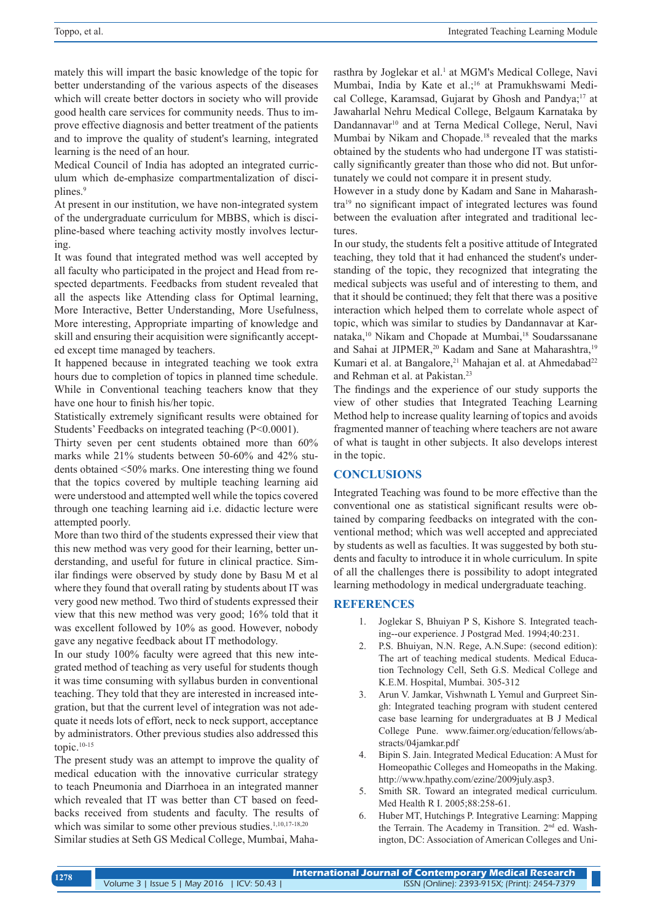mately this will impart the basic knowledge of the topic for better understanding of the various aspects of the diseases which will create better doctors in society who will provide good health care services for community needs. Thus to improve effective diagnosis and better treatment of the patients and to improve the quality of student's learning, integrated learning is the need of an hour.

Medical Council of India has adopted an integrated curriculum which de-emphasize compartmentalization of disciplines.<sup>9</sup>

At present in our institution, we have non-integrated system of the undergraduate curriculum for MBBS, which is discipline-based where teaching activity mostly involves lecturing.

It was found that integrated method was well accepted by all faculty who participated in the project and Head from respected departments. Feedbacks from student revealed that all the aspects like Attending class for Optimal learning, More Interactive, Better Understanding, More Usefulness, More interesting, Appropriate imparting of knowledge and skill and ensuring their acquisition were significantly accepted except time managed by teachers.

It happened because in integrated teaching we took extra hours due to completion of topics in planned time schedule. While in Conventional teaching teachers know that they have one hour to finish his/her topic.

Statistically extremely significant results were obtained for Students' Feedbacks on integrated teaching (P<0.0001).

Thirty seven per cent students obtained more than 60% marks while 21% students between 50-60% and 42% students obtained <50% marks. One interesting thing we found that the topics covered by multiple teaching learning aid were understood and attempted well while the topics covered through one teaching learning aid i.e. didactic lecture were attempted poorly.

More than two third of the students expressed their view that this new method was very good for their learning, better understanding, and useful for future in clinical practice. Similar findings were observed by study done by Basu M et al where they found that overall rating by students about IT was very good new method. Two third of students expressed their view that this new method was very good; 16% told that it was excellent followed by 10% as good. However, nobody gave any negative feedback about IT methodology.

In our study 100% faculty were agreed that this new integrated method of teaching as very useful for students though it was time consuming with syllabus burden in conventional teaching. They told that they are interested in increased integration, but that the current level of integration was not adequate it needs lots of effort, neck to neck support, acceptance by administrators. Other previous studies also addressed this topic.10-15

The present study was an attempt to improve the quality of medical education with the innovative curricular strategy to teach Pneumonia and Diarrhoea in an integrated manner which revealed that IT was better than CT based on feedbacks received from students and faculty. The results of which was similar to some other previous studies.<sup>1,10,17-18,20</sup>

Similar studies at Seth GS Medical College, Mumbai, Maha-

rasthra by Joglekar et al.<sup>1</sup> at MGM's Medical College, Navi Mumbai, India by Kate et al.;<sup>16</sup> at Pramukhswami Medical College, Karamsad, Gujarat by Ghosh and Pandya;<sup>17</sup> at Jawaharlal Nehru Medical College, Belgaum Karnataka by Dandannavar<sup>10</sup> and at Terna Medical College, Nerul, Navi Mumbai by Nikam and Chopade.18 revealed that the marks obtained by the students who had undergone IT was statistically significantly greater than those who did not. But unfortunately we could not compare it in present study.

However in a study done by Kadam and Sane in Maharashtra19 no significant impact of integrated lectures was found between the evaluation after integrated and traditional lectures.

In our study, the students felt a positive attitude of Integrated teaching, they told that it had enhanced the student's understanding of the topic, they recognized that integrating the medical subjects was useful and of interesting to them, and that it should be continued; they felt that there was a positive interaction which helped them to correlate whole aspect of topic, which was similar to studies by Dandannavar at Karnataka,<sup>10</sup> Nikam and Chopade at Mumbai,<sup>18</sup> Soudarssanane and Sahai at JIPMER,<sup>20</sup> Kadam and Sane at Maharashtra,<sup>19</sup> Kumari et al. at Bangalore,<sup>21</sup> Mahajan et al. at Ahmedabad<sup>22</sup> and Rehman et al. at Pakistan.23

The findings and the experience of our study supports the view of other studies that Integrated Teaching Learning Method help to increase quality learning of topics and avoids fragmented manner of teaching where teachers are not aware of what is taught in other subjects. It also develops interest in the topic.

#### **CONCLUSIONS**

Integrated Teaching was found to be more effective than the conventional one as statistical significant results were obtained by comparing feedbacks on integrated with the conventional method; which was well accepted and appreciated by students as well as faculties. It was suggested by both students and faculty to introduce it in whole curriculum. In spite of all the challenges there is possibility to adopt integrated learning methodology in medical undergraduate teaching.

#### **REFERENCES**

- 1. Joglekar S, Bhuiyan P S, Kishore S. Integrated teaching--our experience. J Postgrad Med. 1994;40:231.
- 2. P.S. Bhuiyan, N.N. Rege, A.N.Supe: (second edition): The art of teaching medical students. Medical Education Technology Cell, Seth G.S. Medical College and K.E.M. Hospital, Mumbai. 305-312
- 3. Arun V. Jamkar, Vishwnath L Yemul and Gurpreet Singh: Integrated teaching program with student centered case base learning for undergraduates at B J Medical College Pune. www.faimer.org/education/fellows/abstracts/04jamkar.pdf
- 4. Bipin S. Jain. Integrated Medical Education: A Must for Homeopathic Colleges and Homeopaths in the Making. http://www.hpathy.com/ezine/2009july.asp3.
- 5. Smith SR. Toward an integrated medical curriculum. Med Health R I. 2005;88:258-61.
- 6. Huber MT, Hutchings P. Integrative Learning: Mapping the Terrain. The Academy in Transition. 2<sup>nd</sup> ed. Washington, DC: Association of American Colleges and Uni-